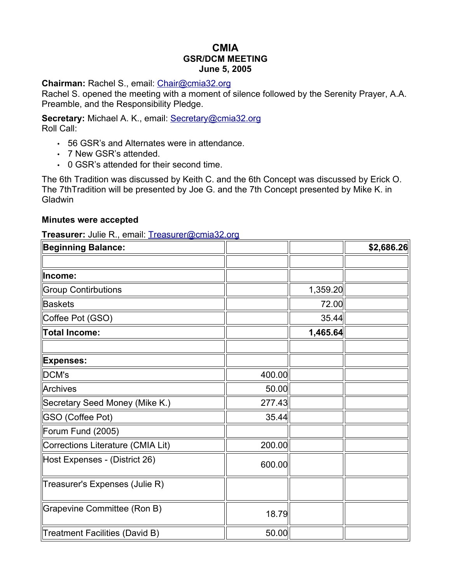# **CMIA GSR/DCM MEETING June 5, 2005**

#### **Chairman:** Rachel S., email: [Chair@cmia32.org](mailto:Chair@cmia32.org)

Rachel S. opened the meeting with a moment of silence followed by the Serenity Prayer, A.A. Preamble, and the Responsibility Pledge.

**Secretary:** Michael A. K., email: [Secretary@cmia32.org](mailto:Secretary@cmia32.org) Roll Call:

- 56 GSR's and Alternates were in attendance.
- 7 New GSR's attended.
- 0 GSR's attended for their second time.

The 6th Tradition was discussed by Keith C. and the 6th Concept was discussed by Erick O. The 7thTradition will be presented by Joe G. and the 7th Concept presented by Mike K. in **Gladwin** 

#### **Minutes were accepted**

**Treasurer:** Julie R., email: [Treasurer@cmia32.org](mailto:Treasurer@cmia32.org)

| <b>Beginning Balance:</b>         |        |          | \$2,686.26 |
|-----------------------------------|--------|----------|------------|
|                                   |        |          |            |
| Income:                           |        |          |            |
| <b>Group Contirbutions</b>        |        | 1,359.20 |            |
| <b>Baskets</b>                    |        | 72.00    |            |
| Coffee Pot (GSO)                  |        | 35.44    |            |
| <b>Total Income:</b>              |        | 1,465.64 |            |
|                                   |        |          |            |
| <b>Expenses:</b>                  |        |          |            |
| DCM's                             | 400.00 |          |            |
| Archives                          | 50.00  |          |            |
| Secretary Seed Money (Mike K.)    | 277.43 |          |            |
| <b>GSO (Coffee Pot)</b>           | 35.44  |          |            |
| Forum Fund (2005)                 |        |          |            |
| Corrections Literature (CMIA Lit) | 200.00 |          |            |
| Host Expenses - (District 26)     | 600.00 |          |            |
| Treasurer's Expenses (Julie R)    |        |          |            |
| Grapevine Committee (Ron B)       | 18.79  |          |            |
| Treatment Facilities (David B)    | 50.00  |          |            |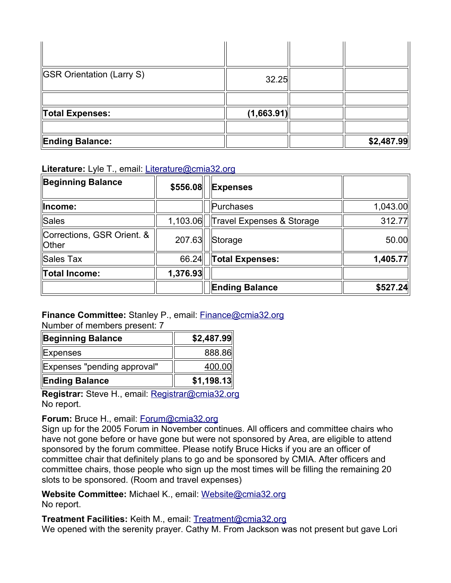| <b>GSR Orientation (Larry S)</b> | 32.25      |            |
|----------------------------------|------------|------------|
|                                  |            |            |
| Total Expenses:                  | (1,663.91) |            |
|                                  |            |            |
| <b>Ending Balance:</b>           |            | \$2,487.99 |

**Literature:** Lyle T., email: [Literature@cmia32.org](mailto:Literature@cmia32.org)

| <b>Beginning Balance</b>                   | \$556.08 | <b>Expenses</b>           |          |
|--------------------------------------------|----------|---------------------------|----------|
| Income:                                    |          | Purchases                 | 1,043.00 |
| <b>Sales</b>                               | 1,103.06 | Travel Expenses & Storage | 312.77   |
| Corrections, GSR Orient. &<br><b>Other</b> | 207.63   | Storage                   | 50.00    |
| Sales Tax                                  | 66.24    | <b>Total Expenses:</b>    | 1,405.77 |
| <b>Total Income:</b>                       | 1,376.93 |                           |          |
|                                            |          | <b>Ending Balance</b>     | \$527.24 |

**Finance Committee:** Stanley P., email: [Finance@cmia32.org](mailto:Finance@cmia32.org) Number of members present: 7

| Beginning Balance           | \$2,487.99 |
|-----------------------------|------------|
| Expenses                    | 888.86     |
| Expenses "pending approval" | 400.00     |
| <b>Ending Balance</b>       | \$1,198.13 |

**Registrar:** Steve H., email: [Registrar@cmia32.org](mailto:Registrar@cmia32.org) No report.

**Forum:** Bruce H., email: [Forum@cmia32.org](mailto:Forum@cmia32.org)

Sign up for the 2005 Forum in November continues. All officers and committee chairs who have not gone before or have gone but were not sponsored by Area, are eligible to attend sponsored by the forum committee. Please notify Bruce Hicks if you are an officer of committee chair that definitely plans to go and be sponsored by CMIA. After officers and committee chairs, those people who sign up the most times will be filling the remaining 20 slots to be sponsored. (Room and travel expenses)

**Website Committee:** Michael K., email: [Website@cmia32.org](mailto:Website@cmia32.org) No report.

**Treatment Facilities:** Keith M., email: [Treatment@cmia32.org](mailto:Treatment@cmia32.org) We opened with the serenity prayer. Cathy M. From Jackson was not present but gave Lori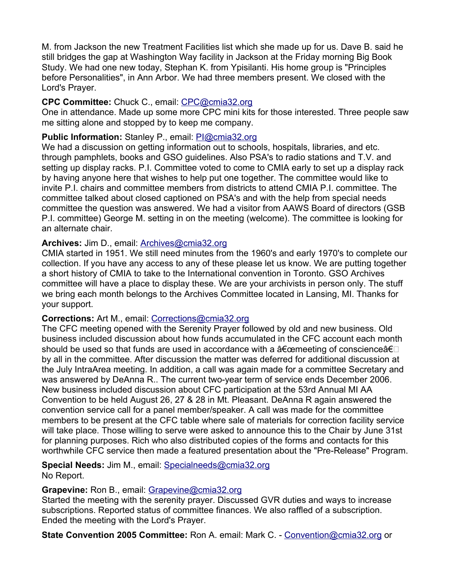M. from Jackson the new Treatment Facilities list which she made up for us. Dave B. said he still bridges the gap at Washington Way facility in Jackson at the Friday morning Big Book Study. We had one new today, Stephan K. from Ypisilanti. His home group is "Principles before Personalities", in Ann Arbor. We had three members present. We closed with the Lord's Prayer.

### **CPC Committee:** Chuck C., email: [CPC@cmia32.org](mailto:cpc@cmia32.org)

One in attendance. Made up some more CPC mini kits for those interested. Three people saw me sitting alone and stopped by to keep me company.

# **Public Information:** Stanley P., email: [PI@cmia32.org](mailto:pi@cmia32.org)

We had a discussion on getting information out to schools, hospitals, libraries, and etc. through pamphlets, books and GSO guidelines. Also PSA's to radio stations and T.V. and setting up display racks. P.I. Committee voted to come to CMIA early to set up a display rack by having anyone here that wishes to help put one together. The committee would like to invite P.I. chairs and committee members from districts to attend CMIA P.I. committee. The committee talked about closed captioned on PSA's and with the help from special needs committee the question was answered. We had a visitor from AAWS Board of directors (GSB P.I. committee) George M. setting in on the meeting (welcome). The committee is looking for an alternate chair.

# **Archives:** Jim D., email: [Archives@cmia32.org](mailto:Archives@cmia32.org)

CMIA started in 1951. We still need minutes from the 1960's and early 1970's to complete our collection. If you have any access to any of these please let us know. We are putting together a short history of CMIA to take to the International convention in Toronto. GSO Archives committee will have a place to display these. We are your archivists in person only. The stuff we bring each month belongs to the Archives Committee located in Lansing, MI. Thanks for your support.

#### **Corrections:** Art M., email: [Corrections@cmia32.org](mailto:Corrections@cmia32.org)

The CFC meeting opened with the Serenity Prayer followed by old and new business. Old business included discussion about how funds accumulated in the CFC account each month should be used so that funds are used in accordance with a  $\land$  emeeting of conscience $\land \in \Box$ by all in the committee. After discussion the matter was deferred for additional discussion at the July IntraArea meeting. In addition, a call was again made for a committee Secretary and was answered by DeAnna R.. The current two-year term of service ends December 2006. New business included discussion about CFC participation at the 53rd Annual MI AA Convention to be held August 26, 27 & 28 in Mt. Pleasant. DeAnna R again answered the convention service call for a panel member/speaker. A call was made for the committee members to be present at the CFC table where sale of materials for correction facility service will take place. Those willing to serve were asked to announce this to the Chair by June 31st for planning purposes. Rich who also distributed copies of the forms and contacts for this worthwhile CFC service then made a featured presentation about the "Pre-Release" Program.

**Special Needs:** Jim M., email: [Specialneeds@cmia32.org](mailto:Specialneeds@cmia32.org) No Report.

#### **Grapevine:** Ron B., email: [Grapevine@cmia32.org](mailto:Grapevine@cmia32.org)

Started the meeting with the serenity prayer. Discussed GVR duties and ways to increase subscriptions. Reported status of committee finances. We also raffled of a subscription. Ended the meeting with the Lord's Prayer.

**State Convention 2005 Committee:** Ron A. email: Mark C. - [Convention@cmia32.org](mailto:Convention@cmia32.org) or